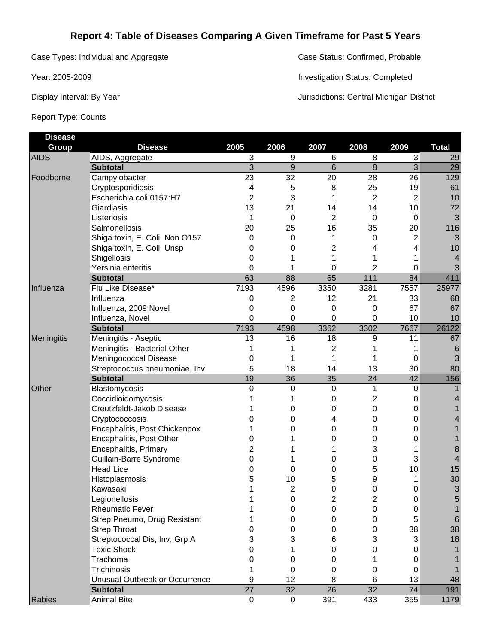## **Report 4: Table of Diseases Comparing A Given Timeframe for Past 5 Years**

Case Types: Individual and Aggregate Case Status: Confirmed, Probable

Report Type: Counts

Year: 2005-2009 Investigation Status: Completed

Display Interval: By Year **Jurisdictions: Central Michigan District** 

| <b>Disease</b> |                                |                 |                 |                  |                  |                 |              |
|----------------|--------------------------------|-----------------|-----------------|------------------|------------------|-----------------|--------------|
| <b>Group</b>   | <b>Disease</b>                 | 2005            | 2006            | 2007             | 2008             | 2009            | <b>Total</b> |
| <b>AIDS</b>    | AIDS, Aggregate                | 3               | 9               | 6                | 8                | $\overline{3}$  | 29           |
|                | <b>Subtotal</b>                | $\overline{3}$  | 9               | 6                | 8                | $\overline{3}$  | 29           |
| Foodborne      | Campylobacter                  | $\overline{23}$ | $\overline{32}$ | 20               | 28               | $\overline{26}$ | 129          |
|                | Cryptosporidiosis              | 4               | 5               | 8                | 25               | 19              | 61           |
|                | Escherichia coli 0157:H7       | 2               | 3               | 1                | $\overline{2}$   | 2               | 10           |
|                | Giardiasis                     | 13              | 21              | 14               | 14               | 10              | 72           |
|                | Listeriosis                    | 1               | 0               | 2                | 0                | 0               | 3            |
|                | Salmonellosis                  | 20              | 25              | 16               | 35               | 20              | 116          |
|                | Shiga toxin, E. Coli, Non O157 | 0               | 0               | 1                | $\Omega$         | 2               | 3            |
|                | Shiga toxin, E. Coli, Unsp     | 0               | 0               | 2                | 4                | 4               | 10           |
|                | Shigellosis                    | 0               |                 | 1                |                  |                 | 4            |
|                | Yersinia enteritis             | 0               |                 | 0                | 2                | 0               | 3            |
|                | <b>Subtotal</b>                | 63              | 88              | 65               | 111              | 84              | 411          |
| Influenza      | Flu Like Disease*              | 7193            | 4596            | 3350             | 3281             | 7557            | 25977        |
|                | Influenza                      | 0               | 2               | 12               | 21               | 33              | 68           |
|                | Influenza, 2009 Novel          | 0               | 0               | 0                | 0                | 67              | 67           |
|                | Influenza, Novel               | 0               | 0               | 0                | 0                | 10              | 10           |
|                | <b>Subtotal</b>                | 7193            | 4598            | 3362             | 3302             | 7667            | 26122        |
| Meningitis     | Meningitis - Aseptic           | 13              | 16              | 18               | 9                | 11              | 67           |
|                | Meningitis - Bacterial Other   |                 |                 | 2                |                  |                 | 6            |
|                | Meningococcal Disease          | 0               |                 | 1                |                  | 0               | 3            |
|                | Streptococcus pneumoniae, Inv  | 5               | 18              | 14               | 13               | 30              | 80           |
|                | <b>Subtotal</b>                | 19              | 36              | 35               | 24               | 42              | 156          |
| Other          | Blastomycosis                  | $\Omega$        | 0               | $\boldsymbol{0}$ | 1                | 0               |              |
|                | Coccidioidomycosis             |                 |                 | 0                | 2                | 0               | 4            |
|                | Creutzfeldt-Jakob Disease      |                 | 0               | 0                | 0                | 0               |              |
|                | Cryptococcosis                 |                 | 0               | 4                | 0                | 0               |              |
|                | Encephalitis, Post Chickenpox  |                 | 0               | 0                | 0                | 0               |              |
|                | Encephalitis, Post Other       | O               |                 | 0                | 0                | 0               |              |
|                | Encephalitis, Primary          |                 |                 |                  | 3                |                 | 8            |
|                | Guillain-Barre Syndrome        | 0               |                 | 0                | 0                | 3               | 4            |
|                | <b>Head Lice</b>               |                 | 0               | 0                | 5                | 10              | 15           |
|                | Histoplasmosis                 |                 | 10              | 5                | 9                |                 | 30           |
|                | Kawasaki                       |                 | 2               | 0                | 0                | 0               | 3            |
|                | Legionellosis                  |                 | 0               | 2                | $\boldsymbol{2}$ | 0               | 5            |
|                | <b>Rheumatic Fever</b>         |                 | 0               | 0                | 0                | 0               | 1            |
|                | Strep Pneumo, Drug Resistant   |                 | 0               | 0                | 0                | 5               | $\sqrt{6}$   |
|                | <b>Strep Throat</b>            |                 | 0               | 0                | 0                | 38              | 38           |
|                | Streptococcal Dis, Inv, Grp A  | 3               | 3               | 6                | 3                | 3               | 18           |
|                | <b>Toxic Shock</b>             | O               |                 | 0                | 0                | 0               |              |
|                | Trachoma                       | O               | 0               | 0                |                  | 0               |              |
|                | Trichinosis                    |                 | 0               | 0                | 0                | 0               | 1            |
|                | Unusual Outbreak or Occurrence | 9               | 12              | 8                | 6                | 13              | 48           |
|                | <b>Subtotal</b>                | $\overline{27}$ | 32              | 26               | 32               | 74              | 191          |
| Rabies         | <b>Animal Bite</b>             | $\mathsf 0$     | $\mathbf 0$     | 391              | 433              | 355             | 1179         |